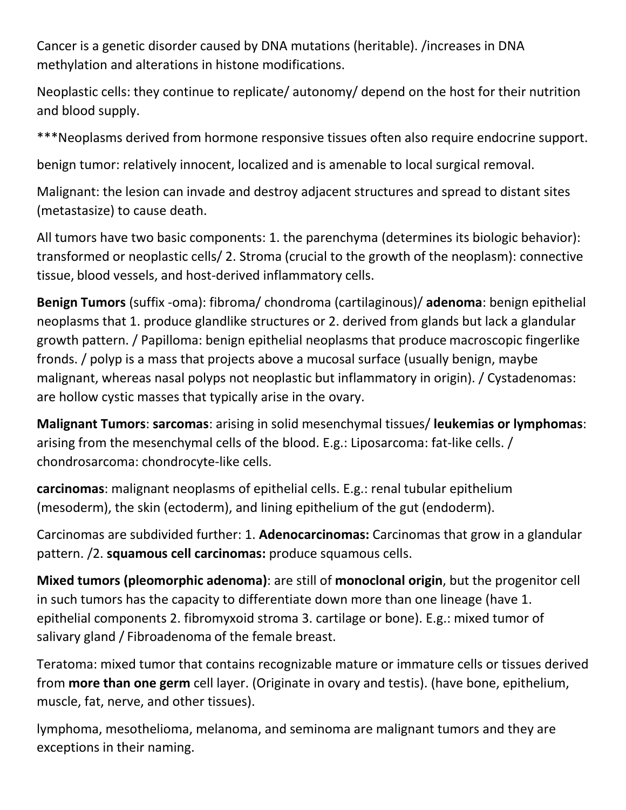Cancer is a genetic disorder caused by DNA mutations (heritable). /increases in DNA methylation and alterations in histone modifications.

Neoplastic cells: they continue to replicate/ autonomy/ depend on the host for their nutrition and blood supply.

\*\*\*Neoplasms derived from hormone responsive tissues often also require endocrine support.

benign tumor: relatively innocent, localized and is amenable to local surgical removal.

Malignant: the lesion can invade and destroy adjacent structures and spread to distant sites (metastasize) to cause death.

All tumors have two basic components: 1. the parenchyma (determines its biologic behavior): transformed or neoplastic cells/ 2. Stroma (crucial to the growth of the neoplasm): connective tissue, blood vessels, and host-derived inflammatory cells.

**Benign Tumors** (suffix -oma): fibroma/ chondroma (cartilaginous)/ **adenoma**: benign epithelial neoplasms that 1. produce glandlike structures or 2. derived from glands but lack a glandular growth pattern. / Papilloma: benign epithelial neoplasms that produce macroscopic fingerlike fronds. / polyp is a mass that projects above a mucosal surface (usually benign, maybe malignant, whereas nasal polyps not neoplastic but inflammatory in origin). / Cystadenomas: are hollow cystic masses that typically arise in the ovary.

**Malignant Tumors**: **sarcomas**: arising in solid mesenchymal tissues/ **leukemias or lymphomas**: arising from the mesenchymal cells of the blood. E.g.: Liposarcoma: fat-like cells. / chondrosarcoma: chondrocyte-like cells.

**carcinomas**: malignant neoplasms of epithelial cells. E.g.: renal tubular epithelium (mesoderm), the skin (ectoderm), and lining epithelium of the gut (endoderm).

Carcinomas are subdivided further: 1. **Adenocarcinomas:** Carcinomas that grow in a glandular pattern. /2. **squamous cell carcinomas:** produce squamous cells.

**Mixed tumors (pleomorphic adenoma)**: are still of **monoclonal origin**, but the progenitor cell in such tumors has the capacity to differentiate down more than one lineage (have 1. epithelial components 2. fibromyxoid stroma 3. cartilage or bone). E.g.: mixed tumor of salivary gland / Fibroadenoma of the female breast.

Teratoma: mixed tumor that contains recognizable mature or immature cells or tissues derived from **more than one germ** cell layer. (Originate in ovary and testis). (have bone, epithelium, muscle, fat, nerve, and other tissues).

lymphoma, mesothelioma, melanoma, and seminoma are malignant tumors and they are exceptions in their naming.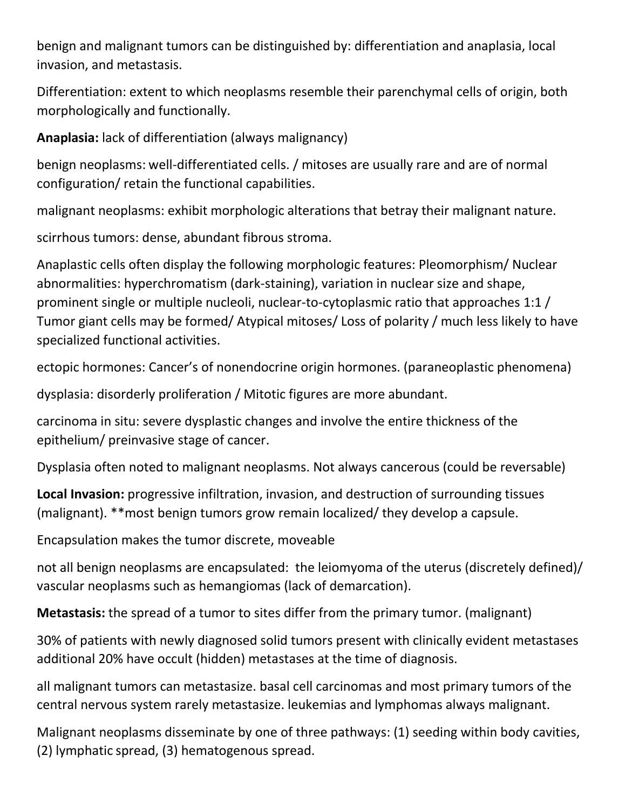benign and malignant tumors can be distinguished by: differentiation and anaplasia, local invasion, and metastasis.

Differentiation: extent to which neoplasms resemble their parenchymal cells of origin, both morphologically and functionally.

**Anaplasia:** lack of differentiation (always malignancy)

benign neoplasms: well-differentiated cells. / mitoses are usually rare and are of normal configuration/ retain the functional capabilities.

malignant neoplasms: exhibit morphologic alterations that betray their malignant nature.

scirrhous tumors: dense, abundant fibrous stroma.

Anaplastic cells often display the following morphologic features: Pleomorphism/ Nuclear abnormalities: hyperchromatism (dark-staining), variation in nuclear size and shape, prominent single or multiple nucleoli, nuclear-to-cytoplasmic ratio that approaches 1:1 / Tumor giant cells may be formed/ Atypical mitoses/ Loss of polarity / much less likely to have specialized functional activities.

ectopic hormones: Cancer's of nonendocrine origin hormones. (paraneoplastic phenomena)

dysplasia: disorderly proliferation / Mitotic figures are more abundant.

carcinoma in situ: severe dysplastic changes and involve the entire thickness of the epithelium/ preinvasive stage of cancer.

Dysplasia often noted to malignant neoplasms. Not always cancerous (could be reversable)

**Local Invasion:** progressive infiltration, invasion, and destruction of surrounding tissues (malignant). \*\*most benign tumors grow remain localized/ they develop a capsule.

Encapsulation makes the tumor discrete, moveable

not all benign neoplasms are encapsulated: the leiomyoma of the uterus (discretely defined)/ vascular neoplasms such as hemangiomas (lack of demarcation).

**Metastasis:** the spread of a tumor to sites differ from the primary tumor. (malignant)

30% of patients with newly diagnosed solid tumors present with clinically evident metastases additional 20% have occult (hidden) metastases at the time of diagnosis.

all malignant tumors can metastasize. basal cell carcinomas and most primary tumors of the central nervous system rarely metastasize. leukemias and lymphomas always malignant.

Malignant neoplasms disseminate by one of three pathways: (1) seeding within body cavities, (2) lymphatic spread, (3) hematogenous spread.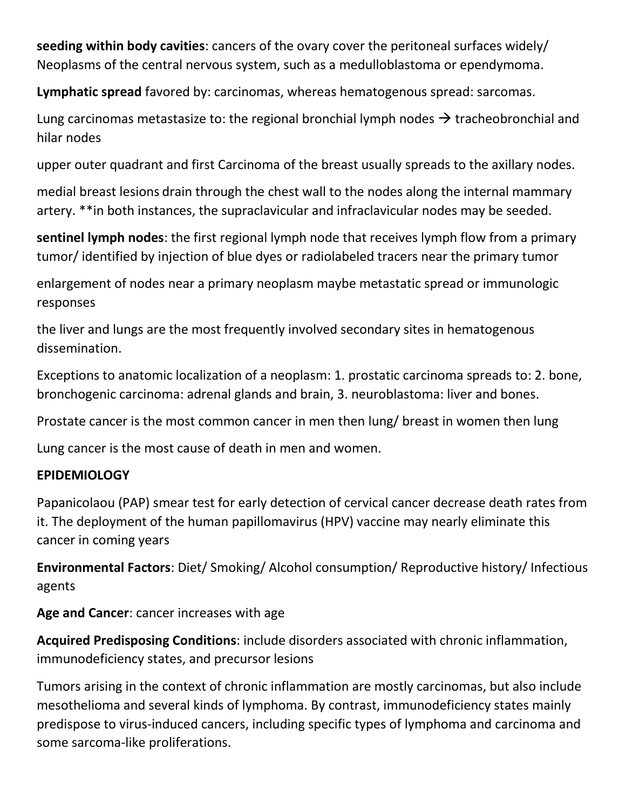**seeding within body cavities**: cancers of the ovary cover the peritoneal surfaces widely/ Neoplasms of the central nervous system, such as a medulloblastoma or ependymoma.

**Lymphatic spread** favored by: carcinomas, whereas hematogenous spread: sarcomas.

Lung carcinomas metastasize to: the regional bronchial lymph nodes  $\rightarrow$  tracheobronchial and hilar nodes

upper outer quadrant and first Carcinoma of the breast usually spreads to the axillary nodes.

medial breast lesions drain through the chest wall to the nodes along the internal mammary artery. \*\*in both instances, the supraclavicular and infraclavicular nodes may be seeded.

**sentinel lymph nodes**: the first regional lymph node that receives lymph flow from a primary tumor/ identified by injection of blue dyes or radiolabeled tracers near the primary tumor

enlargement of nodes near a primary neoplasm maybe metastatic spread or immunologic responses

the liver and lungs are the most frequently involved secondary sites in hematogenous dissemination.

Exceptions to anatomic localization of a neoplasm: 1. prostatic carcinoma spreads to: 2. bone, bronchogenic carcinoma: adrenal glands and brain, 3. neuroblastoma: liver and bones.

Prostate cancer is the most common cancer in men then lung/ breast in women then lung

Lung cancer is the most cause of death in men and women.

#### **EPIDEMIOLOGY**

Papanicolaou (PAP) smear test for early detection of cervical cancer decrease death rates from it. The deployment of the human papillomavirus (HPV) vaccine may nearly eliminate this cancer in coming years

**Environmental Factors**: Diet/ Smoking/ Alcohol consumption/ Reproductive history/ Infectious agents

**Age and Cancer**: cancer increases with age

**Acquired Predisposing Conditions**: include disorders associated with chronic inflammation, immunodeficiency states, and precursor lesions

Tumors arising in the context of chronic inflammation are mostly carcinomas, but also include mesothelioma and several kinds of lymphoma. By contrast, immunodeficiency states mainly predispose to virus-induced cancers, including specific types of lymphoma and carcinoma and some sarcoma-like proliferations.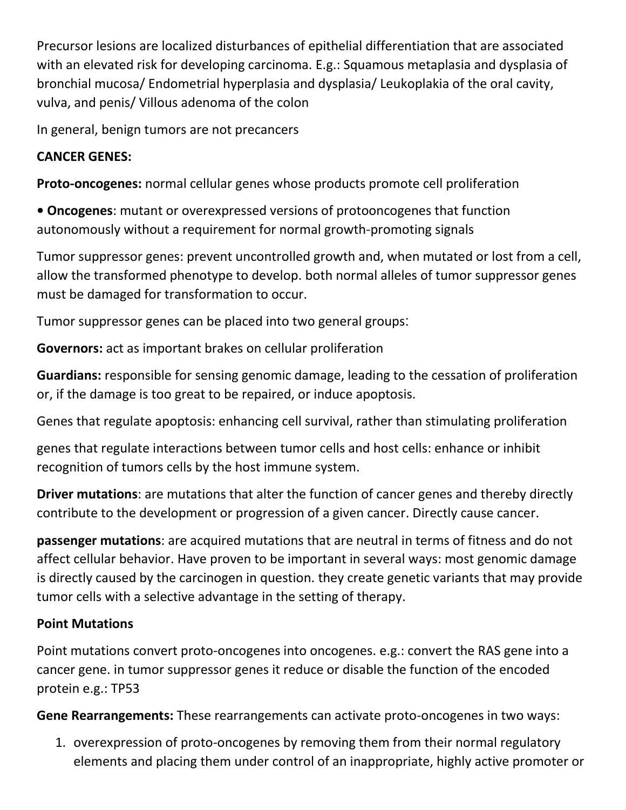Precursor lesions are localized disturbances of epithelial differentiation that are associated with an elevated risk for developing carcinoma. E.g.: Squamous metaplasia and dysplasia of bronchial mucosa/ Endometrial hyperplasia and dysplasia/ Leukoplakia of the oral cavity, vulva, and penis/ Villous adenoma of the colon

In general, benign tumors are not precancers

### **CANCER GENES:**

**Proto-oncogenes:** normal cellular genes whose products promote cell proliferation

**• Oncogenes**: mutant or overexpressed versions of protooncogenes that function autonomously without a requirement for normal growth-promoting signals

Tumor suppressor genes: prevent uncontrolled growth and, when mutated or lost from a cell, allow the transformed phenotype to develop. both normal alleles of tumor suppressor genes must be damaged for transformation to occur.

Tumor suppressor genes can be placed into two general groups:

**Governors:** act as important brakes on cellular proliferation

**Guardians:** responsible for sensing genomic damage, leading to the cessation of proliferation or, if the damage is too great to be repaired, or induce apoptosis.

Genes that regulate apoptosis: enhancing cell survival, rather than stimulating proliferation

genes that regulate interactions between tumor cells and host cells: enhance or inhibit recognition of tumors cells by the host immune system.

**Driver mutations**: are mutations that alter the function of cancer genes and thereby directly contribute to the development or progression of a given cancer. Directly cause cancer.

**passenger mutations**: are acquired mutations that are neutral in terms of fitness and do not affect cellular behavior. Have proven to be important in several ways: most genomic damage is directly caused by the carcinogen in question. they create genetic variants that may provide tumor cells with a selective advantage in the setting of therapy.

# **Point Mutations**

Point mutations convert proto-oncogenes into oncogenes. e.g.: convert the RAS gene into a cancer gene. in tumor suppressor genes it reduce or disable the function of the encoded protein e.g.: TP53

**Gene Rearrangements:** These rearrangements can activate proto-oncogenes in two ways:

1. overexpression of proto-oncogenes by removing them from their normal regulatory elements and placing them under control of an inappropriate, highly active promoter or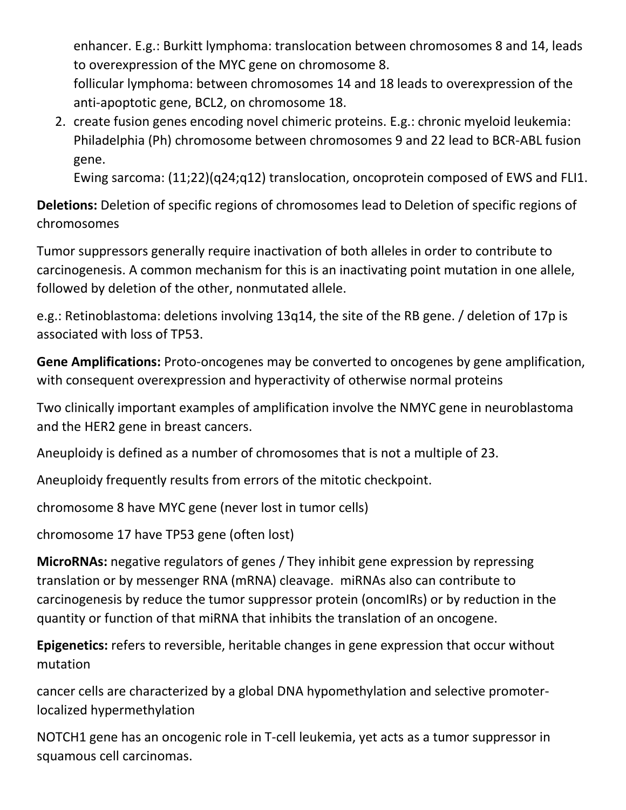enhancer. E.g.: Burkitt lymphoma: translocation between chromosomes 8 and 14, leads to overexpression of the MYC gene on chromosome 8.

follicular lymphoma: between chromosomes 14 and 18 leads to overexpression of the anti-apoptotic gene, BCL2, on chromosome 18.

2. create fusion genes encoding novel chimeric proteins. E.g.: chronic myeloid leukemia: Philadelphia (Ph) chromosome between chromosomes 9 and 22 lead to BCR-ABL fusion gene.

Ewing sarcoma: (11;22)(q24;q12) translocation, oncoprotein composed of EWS and FLI1.

**Deletions:** Deletion of specific regions of chromosomes lead to Deletion of specific regions of chromosomes

Tumor suppressors generally require inactivation of both alleles in order to contribute to carcinogenesis. A common mechanism for this is an inactivating point mutation in one allele, followed by deletion of the other, nonmutated allele.

e.g.: Retinoblastoma: deletions involving 13q14, the site of the RB gene. / deletion of 17p is associated with loss of TP53.

**Gene Amplifications:** Proto-oncogenes may be converted to oncogenes by gene amplification, with consequent overexpression and hyperactivity of otherwise normal proteins

Two clinically important examples of amplification involve the NMYC gene in neuroblastoma and the HER2 gene in breast cancers.

Aneuploidy is defined as a number of chromosomes that is not a multiple of 23.

Aneuploidy frequently results from errors of the mitotic checkpoint.

chromosome 8 have MYC gene (never lost in tumor cells)

chromosome 17 have TP53 gene (often lost)

**MicroRNAs:** negative regulators of genes / They inhibit gene expression by repressing translation or by messenger RNA (mRNA) cleavage. miRNAs also can contribute to carcinogenesis by reduce the tumor suppressor protein (oncomIRs) or by reduction in the quantity or function of that miRNA that inhibits the translation of an oncogene.

**Epigenetics:** refers to reversible, heritable changes in gene expression that occur without mutation

cancer cells are characterized by a global DNA hypomethylation and selective promoterlocalized hypermethylation

NOTCH1 gene has an oncogenic role in T-cell leukemia, yet acts as a tumor suppressor in squamous cell carcinomas.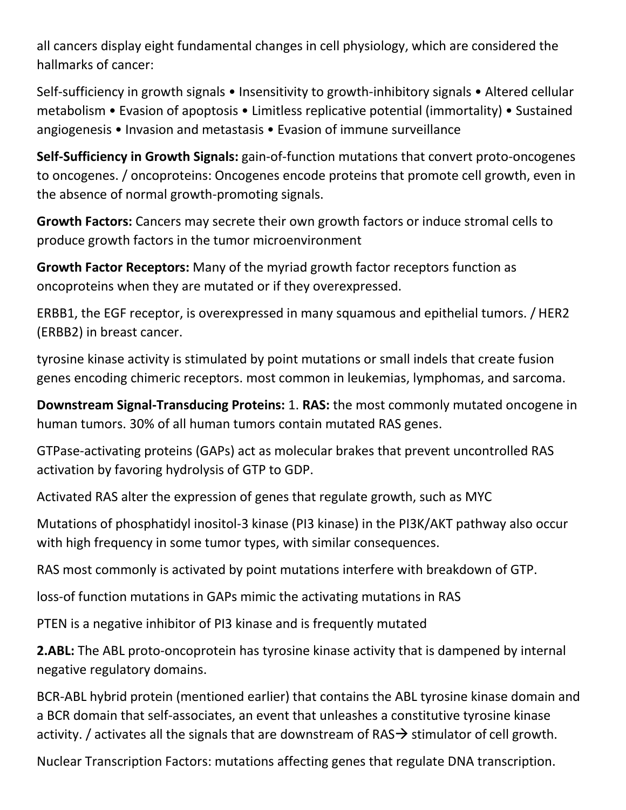all cancers display eight fundamental changes in cell physiology, which are considered the hallmarks of cancer:

Self-sufficiency in growth signals • Insensitivity to growth-inhibitory signals • Altered cellular metabolism • Evasion of apoptosis • Limitless replicative potential (immortality) • Sustained angiogenesis • Invasion and metastasis • Evasion of immune surveillance

**Self-Sufficiency in Growth Signals:** gain-of-function mutations that convert proto-oncogenes to oncogenes. / oncoproteins: Oncogenes encode proteins that promote cell growth, even in the absence of normal growth-promoting signals.

**Growth Factors:** Cancers may secrete their own growth factors or induce stromal cells to produce growth factors in the tumor microenvironment

**Growth Factor Receptors:** Many of the myriad growth factor receptors function as oncoproteins when they are mutated or if they overexpressed.

ERBB1, the EGF receptor, is overexpressed in many squamous and epithelial tumors. / HER2 (ERBB2) in breast cancer.

tyrosine kinase activity is stimulated by point mutations or small indels that create fusion genes encoding chimeric receptors. most common in leukemias, lymphomas, and sarcoma.

**Downstream Signal-Transducing Proteins:** 1. **RAS:** the most commonly mutated oncogene in human tumors. 30% of all human tumors contain mutated RAS genes.

GTPase-activating proteins (GAPs) act as molecular brakes that prevent uncontrolled RAS activation by favoring hydrolysis of GTP to GDP.

Activated RAS alter the expression of genes that regulate growth, such as MYC

Mutations of phosphatidyl inositol-3 kinase (PI3 kinase) in the PI3K/AKT pathway also occur with high frequency in some tumor types, with similar consequences.

RAS most commonly is activated by point mutations interfere with breakdown of GTP.

loss-of function mutations in GAPs mimic the activating mutations in RAS

PTEN is a negative inhibitor of PI3 kinase and is frequently mutated

**2.ABL:** The ABL proto-oncoprotein has tyrosine kinase activity that is dampened by internal negative regulatory domains.

BCR-ABL hybrid protein (mentioned earlier) that contains the ABL tyrosine kinase domain and a BCR domain that self-associates, an event that unleashes a constitutive tyrosine kinase activity. / activates all the signals that are downstream of RAS $\rightarrow$  stimulator of cell growth.

Nuclear Transcription Factors: mutations affecting genes that regulate DNA transcription.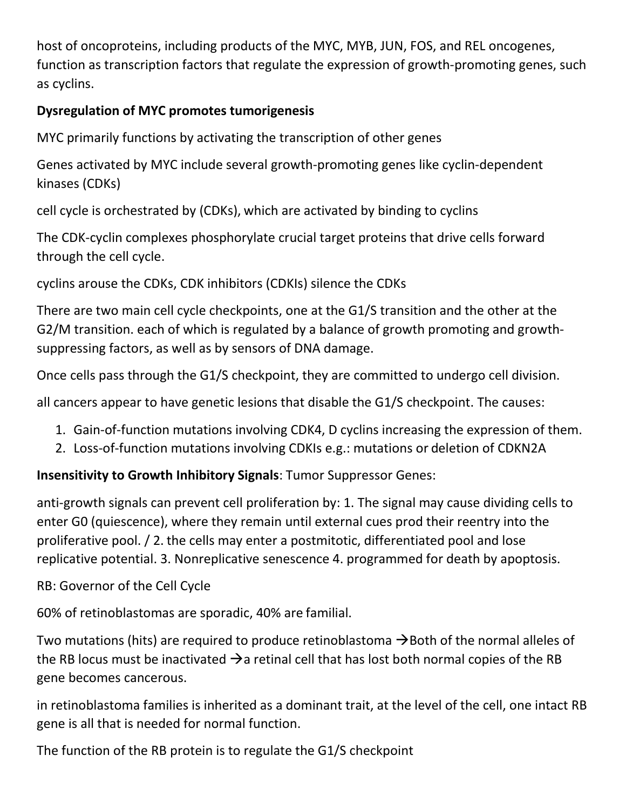host of oncoproteins, including products of the MYC, MYB, JUN, FOS, and REL oncogenes, function as transcription factors that regulate the expression of growth-promoting genes, such as cyclins.

## **Dysregulation of MYC promotes tumorigenesis**

MYC primarily functions by activating the transcription of other genes

Genes activated by MYC include several growth-promoting genes like cyclin-dependent kinases (CDKs)

cell cycle is orchestrated by (CDKs), which are activated by binding to cyclins

The CDK-cyclin complexes phosphorylate crucial target proteins that drive cells forward through the cell cycle.

cyclins arouse the CDKs, CDK inhibitors (CDKIs) silence the CDKs

There are two main cell cycle checkpoints, one at the G1/S transition and the other at the G2/M transition. each of which is regulated by a balance of growth promoting and growthsuppressing factors, as well as by sensors of DNA damage.

Once cells pass through the G1/S checkpoint, they are committed to undergo cell division.

all cancers appear to have genetic lesions that disable the G1/S checkpoint. The causes:

- 1. Gain-of-function mutations involving CDK4, D cyclins increasing the expression of them.
- 2. Loss-of-function mutations involving CDKIs e.g.: mutations or deletion of CDKN2A

# **Insensitivity to Growth Inhibitory Signals**: Tumor Suppressor Genes:

anti-growth signals can prevent cell proliferation by: 1. The signal may cause dividing cells to enter G0 (quiescence), where they remain until external cues prod their reentry into the proliferative pool. / 2. the cells may enter a postmitotic, differentiated pool and lose replicative potential. 3. Nonreplicative senescence 4. programmed for death by apoptosis.

# RB: Governor of the Cell Cycle

60% of retinoblastomas are sporadic, 40% are familial.

Two mutations (hits) are required to produce retinoblastoma  $\rightarrow$  Both of the normal alleles of the RB locus must be inactivated  $\rightarrow$  a retinal cell that has lost both normal copies of the RB gene becomes cancerous.

in retinoblastoma families is inherited as a dominant trait, at the level of the cell, one intact RB gene is all that is needed for normal function.

The function of the RB protein is to regulate the G1/S checkpoint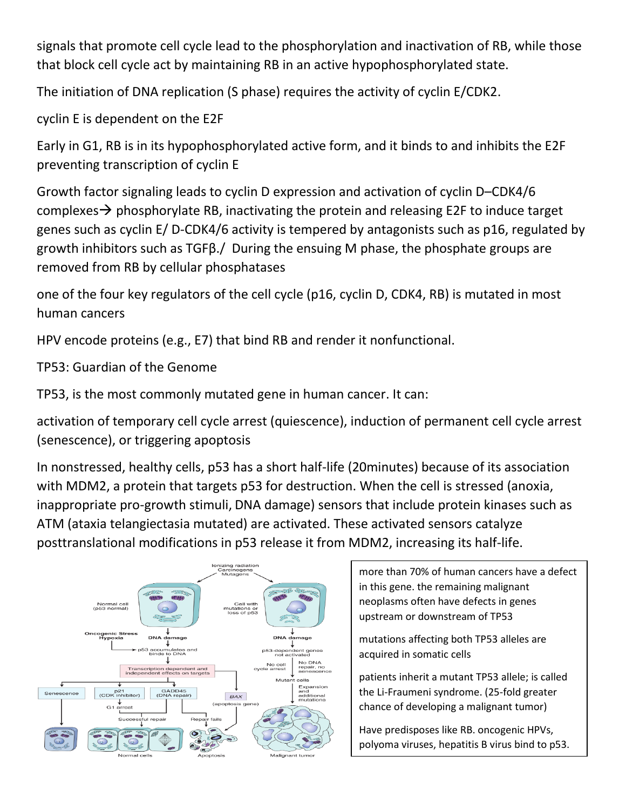signals that promote cell cycle lead to the phosphorylation and inactivation of RB, while those that block cell cycle act by maintaining RB in an active hypophosphorylated state.

The initiation of DNA replication (S phase) requires the activity of cyclin E/CDK2.

cyclin E is dependent on the E2F

Early in G1, RB is in its hypophosphorylated active form, and it binds to and inhibits the E2F preventing transcription of cyclin E

Growth factor signaling leads to cyclin D expression and activation of cyclin D–CDK4/6 complexes  $\rightarrow$  phosphorylate RB, inactivating the protein and releasing E2F to induce target genes such as cyclin E/ D-CDK4/6 activity is tempered by antagonists such as p16, regulated by growth inhibitors such as TGFβ./ During the ensuing M phase, the phosphate groups are removed from RB by cellular phosphatases

one of the four key regulators of the cell cycle (p16, cyclin D, CDK4, RB) is mutated in most human cancers

HPV encode proteins (e.g., E7) that bind RB and render it nonfunctional.

TP53: Guardian of the Genome

TP53, is the most commonly mutated gene in human cancer. It can:

activation of temporary cell cycle arrest (quiescence), induction of permanent cell cycle arrest (senescence), or triggering apoptosis

In nonstressed, healthy cells, p53 has a short half-life (20minutes) because of its association with MDM2, a protein that targets p53 for destruction. When the cell is stressed (anoxia, inappropriate pro-growth stimuli, DNA damage) sensors that include protein kinases such as ATM (ataxia telangiectasia mutated) are activated. These activated sensors catalyze posttranslational modifications in p53 release it from MDM2, increasing its half-life.



more than 70% of human cancers have a defect in this gene. the remaining malignant neoplasms often have defects in genes upstream or downstream of TP53

mutations affecting both TP53 alleles are acquired in somatic cells

patients inherit a mutant TP53 allele; is called the Li-Fraumeni syndrome. (25-fold greater chance of developing a malignant tumor)

Have predisposes like RB. oncogenic HPVs, polyoma viruses, hepatitis B virus bind to p53.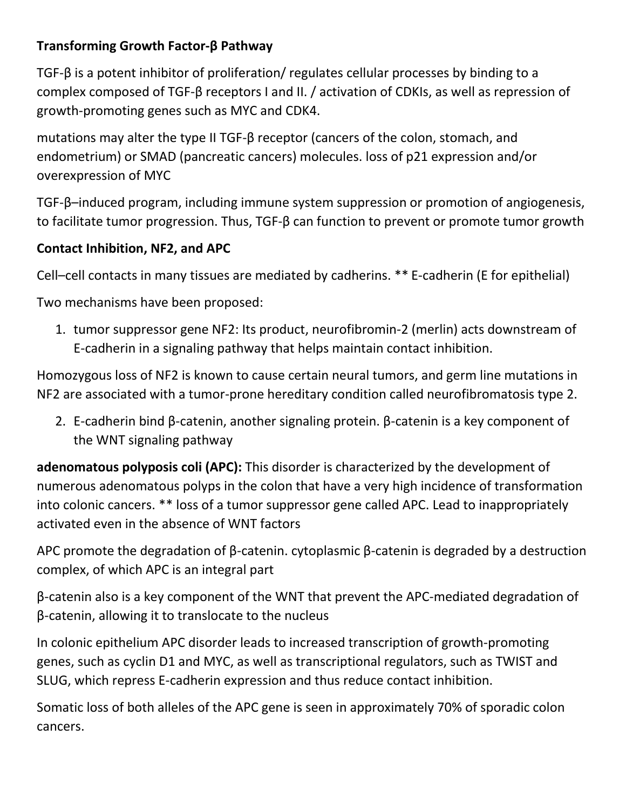## **Transforming Growth Factor-β Pathway**

TGF-β is a potent inhibitor of proliferation/ regulates cellular processes by binding to a complex composed of TGF-β receptors I and II. / activation of CDKIs, as well as repression of growth-promoting genes such as MYC and CDK4.

mutations may alter the type II TGF-β receptor (cancers of the colon, stomach, and endometrium) or SMAD (pancreatic cancers) molecules. loss of p21 expression and/or overexpression of MYC

TGF-β–induced program, including immune system suppression or promotion of angiogenesis, to facilitate tumor progression. Thus, TGF-β can function to prevent or promote tumor growth

## **Contact Inhibition, NF2, and APC**

Cell–cell contacts in many tissues are mediated by cadherins. \*\* E-cadherin (E for epithelial)

Two mechanisms have been proposed:

1. tumor suppressor gene NF2: Its product, neurofibromin-2 (merlin) acts downstream of E-cadherin in a signaling pathway that helps maintain contact inhibition.

Homozygous loss of NF2 is known to cause certain neural tumors, and germ line mutations in NF2 are associated with a tumor-prone hereditary condition called neurofibromatosis type 2.

2. E-cadherin bind β-catenin, another signaling protein. β-catenin is a key component of the WNT signaling pathway

**adenomatous polyposis coli (APC):** This disorder is characterized by the development of numerous adenomatous polyps in the colon that have a very high incidence of transformation into colonic cancers. \*\* loss of a tumor suppressor gene called APC. Lead to inappropriately activated even in the absence of WNT factors

APC promote the degradation of β-catenin. cytoplasmic β-catenin is degraded by a destruction complex, of which APC is an integral part

β-catenin also is a key component of the WNT that prevent the APC-mediated degradation of β-catenin, allowing it to translocate to the nucleus

In colonic epithelium APC disorder leads to increased transcription of growth-promoting genes, such as cyclin D1 and MYC, as well as transcriptional regulators, such as TWIST and SLUG, which repress E-cadherin expression and thus reduce contact inhibition.

Somatic loss of both alleles of the APC gene is seen in approximately 70% of sporadic colon cancers.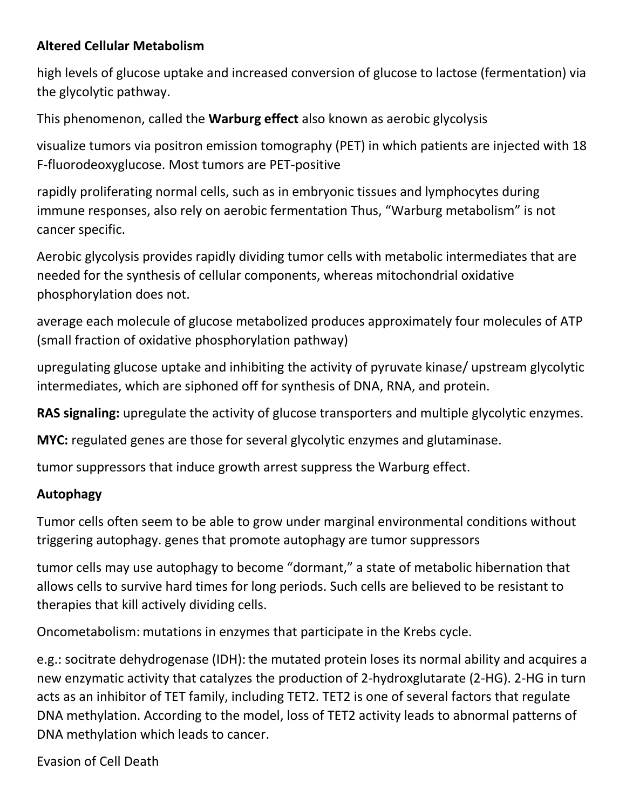#### **Altered Cellular Metabolism**

high levels of glucose uptake and increased conversion of glucose to lactose (fermentation) via the glycolytic pathway.

This phenomenon, called the **Warburg effect** also known as aerobic glycolysis

visualize tumors via positron emission tomography (PET) in which patients are injected with 18 F-fluorodeoxyglucose. Most tumors are PET-positive

rapidly proliferating normal cells, such as in embryonic tissues and lymphocytes during immune responses, also rely on aerobic fermentation Thus, "Warburg metabolism" is not cancer specific.

Aerobic glycolysis provides rapidly dividing tumor cells with metabolic intermediates that are needed for the synthesis of cellular components, whereas mitochondrial oxidative phosphorylation does not.

average each molecule of glucose metabolized produces approximately four molecules of ATP (small fraction of oxidative phosphorylation pathway)

upregulating glucose uptake and inhibiting the activity of pyruvate kinase/ upstream glycolytic intermediates, which are siphoned off for synthesis of DNA, RNA, and protein.

**RAS signaling:** upregulate the activity of glucose transporters and multiple glycolytic enzymes.

**MYC:** regulated genes are those for several glycolytic enzymes and glutaminase.

tumor suppressors that induce growth arrest suppress the Warburg effect.

#### **Autophagy**

Tumor cells often seem to be able to grow under marginal environmental conditions without triggering autophagy. genes that promote autophagy are tumor suppressors

tumor cells may use autophagy to become "dormant," a state of metabolic hibernation that allows cells to survive hard times for long periods. Such cells are believed to be resistant to therapies that kill actively dividing cells.

Oncometabolism: mutations in enzymes that participate in the Krebs cycle.

e.g.: socitrate dehydrogenase (IDH): the mutated protein loses its normal ability and acquires a new enzymatic activity that catalyzes the production of 2-hydroxglutarate (2-HG). 2-HG in turn acts as an inhibitor of TET family, including TET2. TET2 is one of several factors that regulate DNA methylation. According to the model, loss of TET2 activity leads to abnormal patterns of DNA methylation which leads to cancer.

Evasion of Cell Death